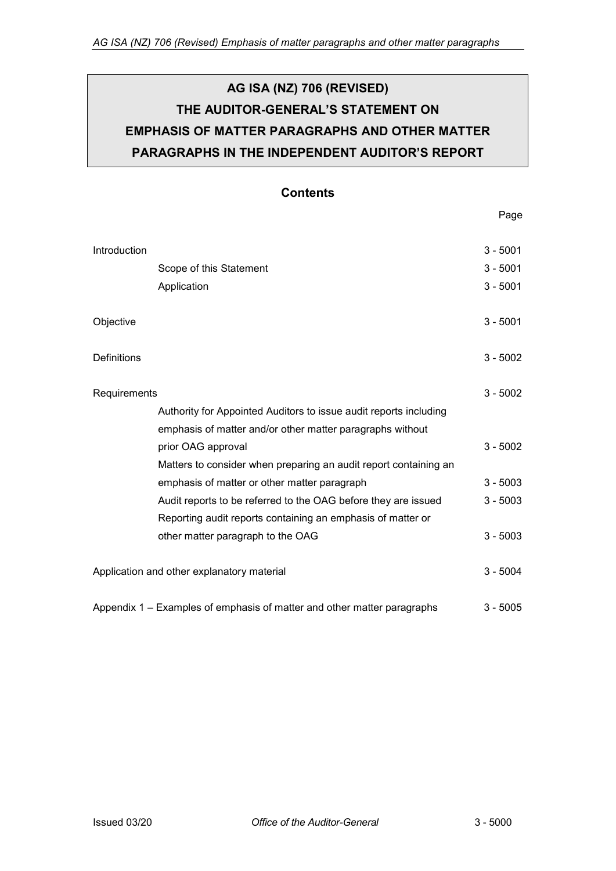# **AG ISA (NZ) 706 (REVISED) THE AUDITOR-GENERAL'S STATEMENT ON EMPHASIS OF MATTER PARAGRAPHS AND OTHER MATTER PARAGRAPHS IN THE INDEPENDENT AUDITOR'S REPORT**

## **Contents**

Page

| Introduction                                                                                                                                   | Scope of this Statement<br>Application                                                                                                                                                                             | $3 - 5001$<br>$3 - 5001$<br>$3 - 5001$ |
|------------------------------------------------------------------------------------------------------------------------------------------------|--------------------------------------------------------------------------------------------------------------------------------------------------------------------------------------------------------------------|----------------------------------------|
| Objective                                                                                                                                      |                                                                                                                                                                                                                    | $3 - 5001$                             |
| Definitions                                                                                                                                    |                                                                                                                                                                                                                    | $3 - 5002$                             |
| Requirements<br>Authority for Appointed Auditors to issue audit reports including<br>emphasis of matter and/or other matter paragraphs without |                                                                                                                                                                                                                    | $3 - 5002$                             |
|                                                                                                                                                | prior OAG approval<br>Matters to consider when preparing an audit report containing an                                                                                                                             | $3 - 5002$                             |
|                                                                                                                                                | emphasis of matter or other matter paragraph<br>Audit reports to be referred to the OAG before they are issued<br>Reporting audit reports containing an emphasis of matter or<br>other matter paragraph to the OAG | $3 - 5003$<br>$3 - 5003$<br>$3 - 5003$ |
| Application and other explanatory material                                                                                                     |                                                                                                                                                                                                                    | $3 - 5004$                             |
| Appendix 1 – Examples of emphasis of matter and other matter paragraphs                                                                        |                                                                                                                                                                                                                    | $3 - 5005$                             |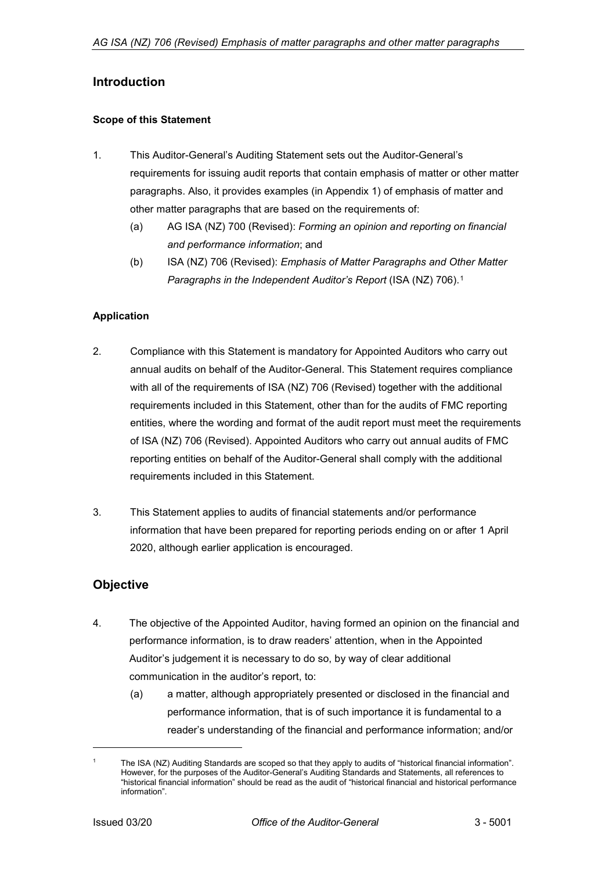## <span id="page-1-0"></span>**Introduction**

### <span id="page-1-1"></span>**Scope of this Statement**

- 1. This Auditor-General's Auditing Statement sets out the Auditor-General's requirements for issuing audit reports that contain emphasis of matter or other matter paragraphs. Also, it provides examples (in Appendix 1) of emphasis of matter and other matter paragraphs that are based on the requirements of:
	- (a) AG ISA (NZ) 700 (Revised): *Forming an opinion and reporting on financial and performance information*; and
	- (b) ISA (NZ) 706 (Revised): *Emphasis of Matter Paragraphs and Other Matter Paragraphs in the Independent Auditor's Report* (ISA (NZ) 706).[1](#page-1-4)

### <span id="page-1-2"></span>**Application**

- 2. Compliance with this Statement is mandatory for Appointed Auditors who carry out annual audits on behalf of the Auditor-General. This Statement requires compliance with all of the requirements of ISA (NZ) 706 (Revised) together with the additional requirements included in this Statement, other than for the audits of FMC reporting entities, where the wording and format of the audit report must meet the requirements of ISA (NZ) 706 (Revised). Appointed Auditors who carry out annual audits of FMC reporting entities on behalf of the Auditor-General shall comply with the additional requirements included in this Statement.
- 3. This Statement applies to audits of financial statements and/or performance information that have been prepared for reporting periods ending on or after 1 April 2020, although earlier application is encouraged.

## <span id="page-1-3"></span>**Objective**

- 4. The objective of the Appointed Auditor, having formed an opinion on the financial and performance information, is to draw readers' attention, when in the Appointed Auditor's judgement it is necessary to do so, by way of clear additional communication in the auditor's report, to:
	- (a) a matter, although appropriately presented or disclosed in the financial and performance information, that is of such importance it is fundamental to a reader's understanding of the financial and performance information; and/or

-

<span id="page-1-4"></span>The ISA (NZ) Auditing Standards are scoped so that they apply to audits of "historical financial information". However, for the purposes of the Auditor-General's Auditing Standards and Statements, all references to "historical financial information" should be read as the audit of "historical financial and historical performance information".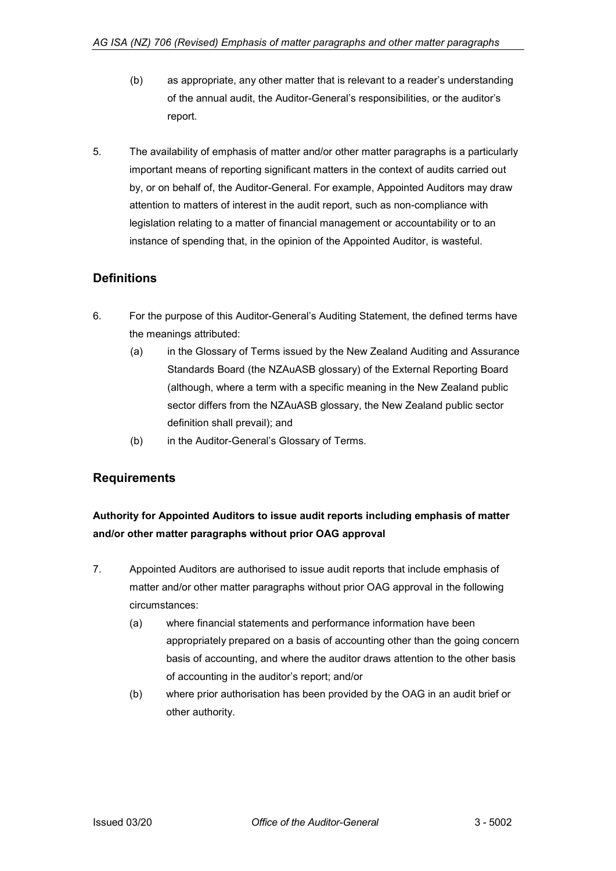- (b) as appropriate, any other matter that is relevant to a reader's understanding of the annual audit, the Auditor-General's responsibilities, or the auditor's report.
- 5. The availability of emphasis of matter and/or other matter paragraphs is a particularly important means of reporting significant matters in the context of audits carried out by, or on behalf of, the Auditor-General. For example, Appointed Auditors may draw attention to matters of interest in the audit report, such as non-compliance with legislation relating to a matter of financial management or accountability or to an instance of spending that, in the opinion of the Appointed Auditor, is wasteful.

## <span id="page-2-0"></span>**Definitions**

- 6. For the purpose of this Auditor-General's Auditing Statement, the defined terms have the meanings attributed:
	- (a) in the Glossary of Terms issued by the New Zealand Auditing and Assurance Standards Board (the NZAuASB glossary) of the External Reporting Board (although, where a term with a specific meaning in the New Zealand public sector differs from the NZAuASB glossary, the New Zealand public sector definition shall prevail); and
	- (b) in the Auditor-General's Glossary of Terms.

## <span id="page-2-1"></span>**Requirements**

## <span id="page-2-2"></span>**Authority for Appointed Auditors to issue audit reports including emphasis of matter and/or other matter paragraphs without prior OAG approval**

- <span id="page-2-3"></span>7. Appointed Auditors are authorised to issue audit reports that include emphasis of matter and/or other matter paragraphs without prior OAG approval in the following circumstances:
	- (a) where financial statements and performance information have been appropriately prepared on a basis of accounting other than the going concern basis of accounting, and where the auditor draws attention to the other basis of accounting in the auditor's report; and/or
	- (b) where prior authorisation has been provided by the OAG in an audit brief or other authority.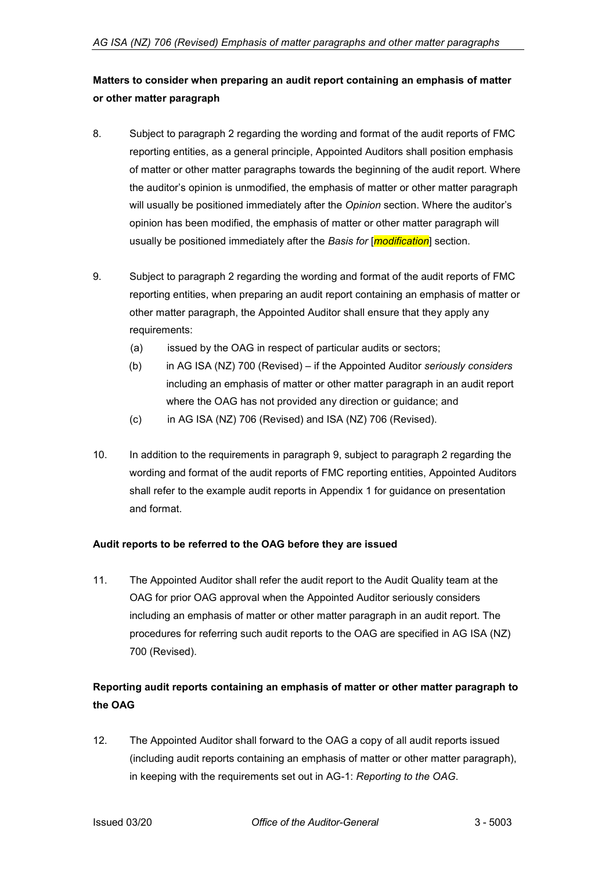## **Matters to consider when preparing an audit report containing an emphasis of matter or other matter paragraph**

- 8. Subject to paragraph 2 regarding the wording and format of the audit reports of FMC reporting entities, as a general principle, Appointed Auditors shall position emphasis of matter or other matter paragraphs towards the beginning of the audit report. Where the auditor's opinion is unmodified, the emphasis of matter or other matter paragraph will usually be positioned immediately after the *Opinion* section. Where the auditor's opinion has been modified, the emphasis of matter or other matter paragraph will usually be positioned immediately after the *Basis for* [*modification*] section.
- 9. Subject to paragraph 2 regarding the wording and format of the audit reports of FMC reporting entities, when preparing an audit report containing an emphasis of matter or other matter paragraph, the Appointed Auditor shall ensure that they apply any requirements:
	- (a) issued by the OAG in respect of particular audits or sectors;
	- (b) in AG ISA (NZ) 700 (Revised) if the Appointed Auditor *seriously considers* including an emphasis of matter or other matter paragraph in an audit report where the OAG has not provided any direction or guidance; and
	- (c) in AG ISA (NZ) 706 (Revised) and ISA (NZ) 706 (Revised).
- 10. In addition to the requirements in paragraph 9, subject to paragraph 2 regarding the wording and format of the audit reports of FMC reporting entities, Appointed Auditors shall refer to the example audit reports in Appendix 1 for guidance on presentation and format.

### <span id="page-3-0"></span>**Audit reports to be referred to the OAG before they are issued**

11. The Appointed Auditor shall refer the audit report to the Audit Quality team at the OAG for prior OAG approval when the Appointed Auditor seriously considers including an emphasis of matter or other matter paragraph in an audit report. The procedures for referring such audit reports to the OAG are specified in AG ISA (NZ) 700 (Revised).

## <span id="page-3-1"></span>**Reporting audit reports containing an emphasis of matter or other matter paragraph to the OAG**

12. The Appointed Auditor shall forward to the OAG a copy of all audit reports issued (including audit reports containing an emphasis of matter or other matter paragraph), in keeping with the requirements set out in AG-1: *Reporting to the OAG*.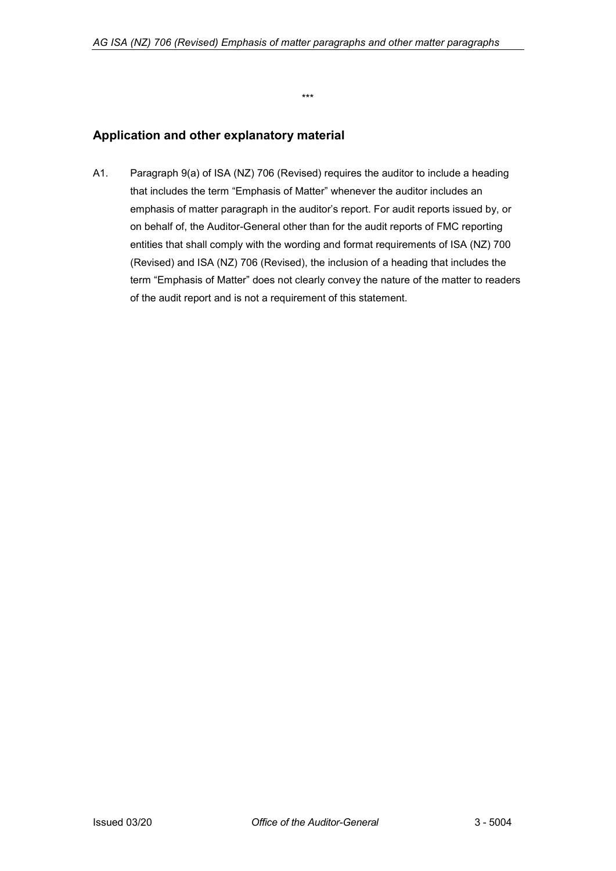\*\*\*

### <span id="page-4-0"></span>**Application and other explanatory material**

A1. Paragraph 9(a) of ISA (NZ) 706 (Revised) requires the auditor to include a heading that includes the term "Emphasis of Matter" whenever the auditor includes an emphasis of matter paragraph in the auditor's report. For audit reports issued by, or on behalf of, the Auditor-General other than for the audit reports of FMC reporting entities that shall comply with the wording and format requirements of ISA (NZ) 700 (Revised) and ISA (NZ) 706 (Revised), the inclusion of a heading that includes the term "Emphasis of Matter" does not clearly convey the nature of the matter to readers of the audit report and is not a requirement of this statement.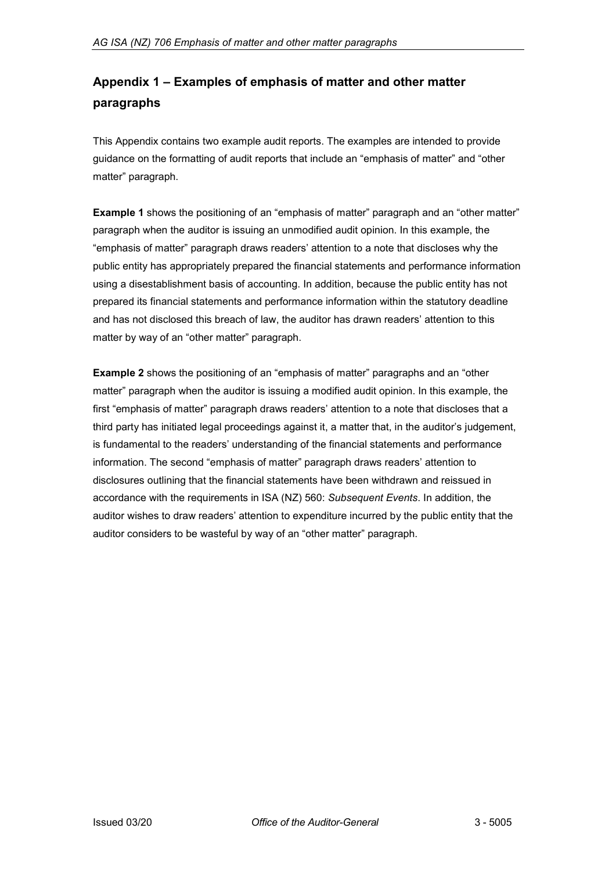# <span id="page-5-0"></span>**Appendix 1 – Examples of emphasis of matter and other matter paragraphs**

This Appendix contains two example audit reports. The examples are intended to provide guidance on the formatting of audit reports that include an "emphasis of matter" and "other matter" paragraph.

**Example 1** shows the positioning of an "emphasis of matter" paragraph and an "other matter" paragraph when the auditor is issuing an unmodified audit opinion. In this example, the "emphasis of matter" paragraph draws readers' attention to a note that discloses why the public entity has appropriately prepared the financial statements and performance information using a disestablishment basis of accounting. In addition, because the public entity has not prepared its financial statements and performance information within the statutory deadline and has not disclosed this breach of law, the auditor has drawn readers' attention to this matter by way of an "other matter" paragraph.

**Example 2** shows the positioning of an "emphasis of matter" paragraphs and an "other matter" paragraph when the auditor is issuing a modified audit opinion. In this example, the first "emphasis of matter" paragraph draws readers' attention to a note that discloses that a third party has initiated legal proceedings against it, a matter that, in the auditor's judgement, is fundamental to the readers' understanding of the financial statements and performance information. The second "emphasis of matter" paragraph draws readers' attention to disclosures outlining that the financial statements have been withdrawn and reissued in accordance with the requirements in ISA (NZ) 560: *Subsequent Events*. In addition, the auditor wishes to draw readers' attention to expenditure incurred by the public entity that the auditor considers to be wasteful by way of an "other matter" paragraph.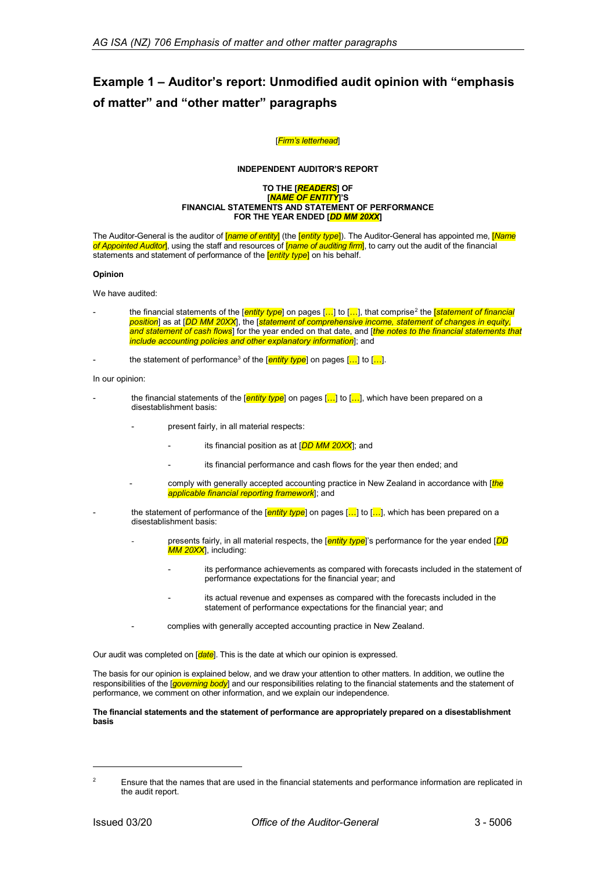# **Example 1 – Auditor's report: Unmodified audit opinion with "emphasis of matter" and "other matter" paragraphs**

### [*Firm's letterhead*]

### **INDEPENDENT AUDITOR'S REPORT**

#### **TO THE [***READERS***] OF [***NAME OF ENTITY***]'S FINANCIAL STATEMENTS AND STATEMENT OF PERFORMANCE FOR THE YEAR ENDED [***DD MM 20XX***]**

The Auditor-General is the auditor of [*name of entity*] (the [*entity type*]). The Auditor-General has appointed me, [*Name of Appointed Auditor*], using the staff and resources of [*name of auditing firm*], to carry out the audit of the financial statements and statement of performance of the [*entity type*] on his behalf.

### **Opinion**

We have audited:

- the financial statements of the [*entity type*] on pages [...] to [...], that comprise<sup>[2](#page-6-0)</sup> the *[statement of financial position*] as at [*DD MM 20XX*], the [*statement of comprehensive income, statement of changes in equity, and statement of cash flows*] for the year ended on that date, and [*the notes to the financial statements that include accounting policies and other explanatory information*]; and
- the statement of performance<sup>3</sup> of the  $\left[\frac{\text{entity type}}{\text{type}}\right]$  on pages  $\left[\frac{1}{n+1}\right]$  to  $\left[\frac{1}{n+1}\right]$ .

In our opinion:

- the financial statements of the  $\frac{(\text{entity type}]}{(\text{empty type})}$  on pages  $\left[\dots\right]$  to  $\left[\dots\right]$ , which have been prepared on a disestablishment basis:
	- present fairly, in all material respects:
		- its financial position as at [DD MM 20XX]; and
		- its financial performance and cash flows for the year then ended; and
	- comply with generally accepted accounting practice in New Zealand in accordance with [*the applicable financial reporting framework*]; and
- the statement of performance of the *[entity type*] on pages [...] to [...], which has been prepared on a disestablishment basis:
	- presents fairly, in all material respects, the [*entity type*]'s performance for the year ended [*DD MM 20XX*], including:
		- its performance achievements as compared with forecasts included in the statement of performance expectations for the financial year; and
		- its actual revenue and expenses as compared with the forecasts included in the statement of performance expectations for the financial year; and
	- complies with generally accepted accounting practice in New Zealand.

Our audit was completed on [*date*]. This is the date at which our opinion is expressed.

The basis for our opinion is explained below, and we draw your attention to other matters. In addition, we outline the responsibilities of the [*governing body*] and our responsibilities relating to the financial statements and the statement of performance, we comment on other information, and we explain our independence.

#### **The financial statements and the statement of performance are appropriately prepared on a disestablishment basis**

j

<span id="page-6-0"></span> $2<sup>2</sup>$  Ensure that the names that are used in the financial statements and performance information are replicated in the audit report.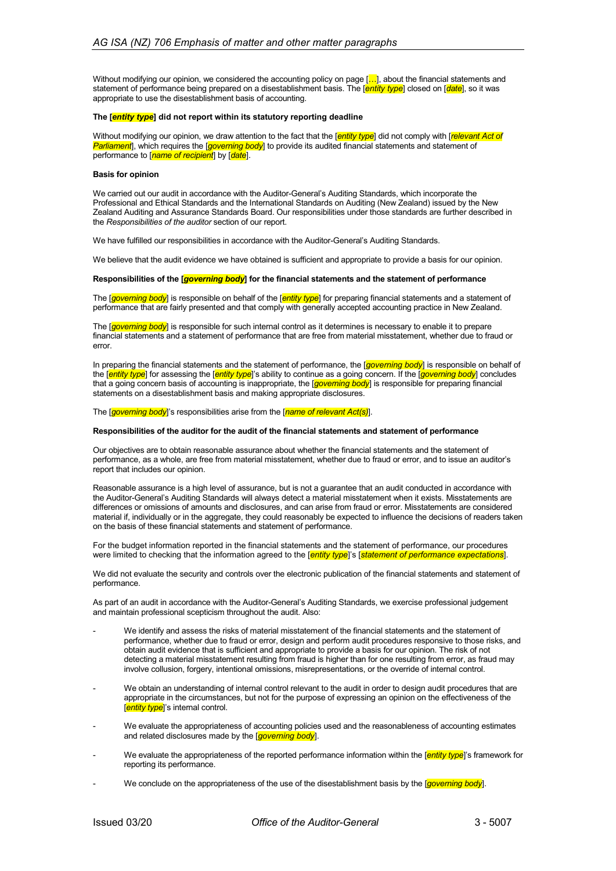Without modifying our opinion, we considered the accounting policy on page [...], about the financial statements and statement of performance being prepared on a disestablishment basis. The [*entity type*] closed on [*date*], so it was appropriate to use the disestablishment basis of accounting.

#### **The [***entity type***] did not report within its statutory reporting deadline**

Without modifying our opinion, we draw attention to the fact that the [*entity type*] did not comply with [*relevant Act of Parliament*], which requires the [*governing body*] to provide its audited financial statements and statement of performance to [*name of recipient*] by [*date*].

### **Basis for opinion**

We carried out our audit in accordance with the Auditor-General's Auditing Standards, which incorporate the Professional and Ethical Standards and the International Standards on Auditing (New Zealand) issued by the New Zealand Auditing and Assurance Standards Board. Our responsibilities under those standards are further described in the *Responsibilities of the auditor* section of our report.

We have fulfilled our responsibilities in accordance with the Auditor-General's Auditing Standards.

We believe that the audit evidence we have obtained is sufficient and appropriate to provide a basis for our opinion.

#### **Responsibilities of the [***governing body***] for the financial statements and the statement of performance**

The [*governing body*] is responsible on behalf of the [*entity type*] for preparing financial statements and a statement of performance that are fairly presented and that comply with generally accepted accounting practice in New Zealand.

The [*governing body*] is responsible for such internal control as it determines is necessary to enable it to prepare financial statements and a statement of performance that are free from material misstatement, whether due to fraud or error.

In preparing the financial statements and the statement of performance, the [*governing body*] is responsible on behalf of the [*entity type*] for assessing the [*entity type*]'s ability to continue as a going concern. If the [*governing body*] concludes that a going concern basis of accounting is inappropriate, the [*governing body*] is responsible for preparing financial statements on a disestablishment basis and making appropriate disclosures.

The [*governing body*]'s responsibilities arise from the [*name of relevant Act(s)*].

#### **Responsibilities of the auditor for the audit of the financial statements and statement of performance**

Our objectives are to obtain reasonable assurance about whether the financial statements and the statement of performance, as a whole, are free from material misstatement, whether due to fraud or error, and to issue an auditor's report that includes our opinion.

Reasonable assurance is a high level of assurance, but is not a guarantee that an audit conducted in accordance with the Auditor-General's Auditing Standards will always detect a material misstatement when it exists. Misstatements are differences or omissions of amounts and disclosures, and can arise from fraud or error. Misstatements are considered material if, individually or in the aggregate, they could reasonably be expected to influence the decisions of readers taken on the basis of these financial statements and statement of performance.

For the budget information reported in the financial statements and the statement of performance, our procedures were limited to checking that the information agreed to the [*entity type*]'s [*statement of performance expectations*].

We did not evaluate the security and controls over the electronic publication of the financial statements and statement of performance.

As part of an audit in accordance with the Auditor-General's Auditing Standards, we exercise professional judgement and maintain professional scepticism throughout the audit. Also:

- We identify and assess the risks of material misstatement of the financial statements and the statement of performance, whether due to fraud or error, design and perform audit procedures responsive to those risks, and obtain audit evidence that is sufficient and appropriate to provide a basis for our opinion. The risk of not detecting a material misstatement resulting from fraud is higher than for one resulting from error, as fraud may involve collusion, forgery, intentional omissions, misrepresentations, or the override of internal control.
- We obtain an understanding of internal control relevant to the audit in order to design audit procedures that are appropriate in the circumstances, but not for the purpose of expressing an opinion on the effectiveness of the [*entity type*]'s internal control.
- We evaluate the appropriateness of accounting policies used and the reasonableness of accounting estimates and related disclosures made by the [*governing body*].
- We evaluate the appropriateness of the reported performance information within the [*entity type*]'s framework for reporting its performance.
- We conclude on the appropriateness of the use of the disestablishment basis by the *[governing body*].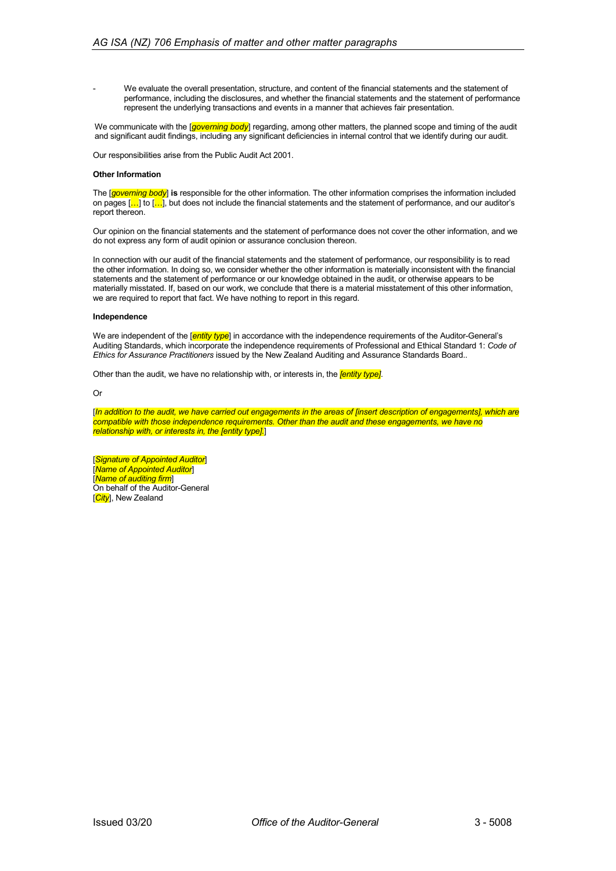We evaluate the overall presentation, structure, and content of the financial statements and the statement of performance, including the disclosures, and whether the financial statements and the statement of performance represent the underlying transactions and events in a manner that achieves fair presentation.

We communicate with the [*governing body*] regarding, among other matters, the planned scope and timing of the audit and significant audit findings, including any significant deficiencies in internal control that we identify during our audit.

Our responsibilities arise from the Public Audit Act 2001.

### **Other Information**

The [*governing body*] **is** responsible for the other information. The other information comprises the information included on pages  $[...]$  to  $[...]$ , but does not include the financial statements and the statement of performance, and our auditor's report thereon.

Our opinion on the financial statements and the statement of performance does not cover the other information, and we do not express any form of audit opinion or assurance conclusion thereon.

In connection with our audit of the financial statements and the statement of performance, our responsibility is to read the other information. In doing so, we consider whether the other information is materially inconsistent with the financial statements and the statement of performance or our knowledge obtained in the audit, or otherwise appears to be materially misstated. If, based on our work, we conclude that there is a material misstatement of this other information, we are required to report that fact. We have nothing to report in this regard.

#### **Independence**

We are independent of the [*entity type*] in accordance with the independence requirements of the Auditor-General's Auditing Standards, which incorporate the independence requirements of Professional and Ethical Standard 1: *Code of Ethics for Assurance Practitioners* issued by the New Zealand Auditing and Assurance Standards Board..

Other than the audit, we have no relationship with, or interests in, the *[entity type]*.

Or

[*In addition to the audit, we have carried out engagements in the areas of [insert description of engagements], which are compatible with those independence requirements. Other than the audit and these engagements, we have no relationship with, or interests in, the [entity type].*]

[*Signature of Appointed Auditor*] [*Name of Appointed Auditor*] [*Name of auditing firm*] On behalf of the Auditor-General [*City*], New Zealand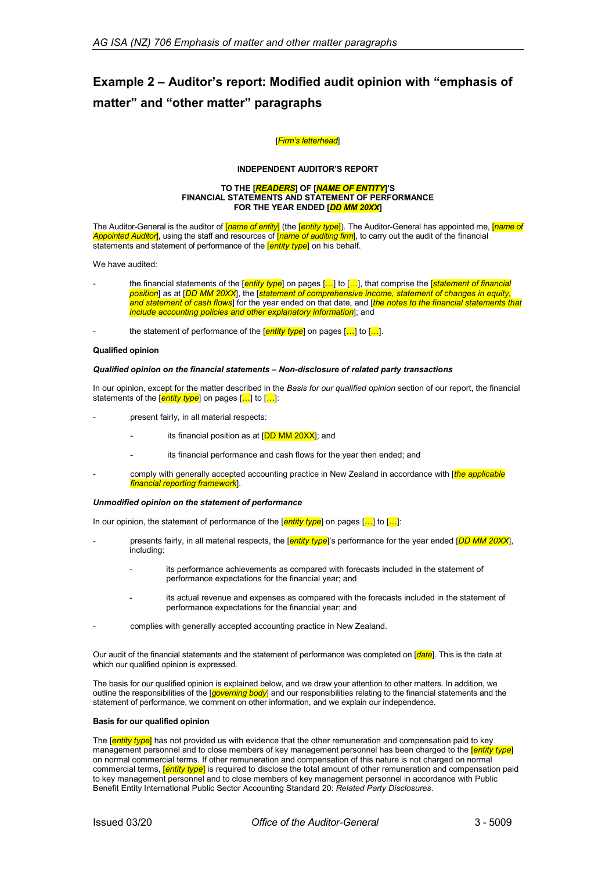# **Example 2 – Auditor's report: Modified audit opinion with "emphasis of matter" and "other matter" paragraphs**

### [*Firm's letterhead*]

### **INDEPENDENT AUDITOR'S REPORT**

#### **TO THE [***READERS***] OF [***NAME OF ENTITY***]'S FINANCIAL STATEMENTS AND STATEMENT OF PERFORMANCE FOR THE YEAR ENDED [***DD MM 20XX***]**

The Auditor-General is the auditor of [*name of entity*] (the [*entity type*]). The Auditor-General has appointed me, [*name of Appointed Auditor*], using the staff and resources of [*name of auditing firm*], to carry out the audit of the financial statements and statement of performance of the [*entity type*] on his behalf.

We have audited:

- the financial statements of the [*entity type*] on pages […] to […], that comprise the [*statement of financial position*] as at [*DD MM 20XX*], the [*statement of comprehensive income, statement of changes in equity, and statement of cash flows*] for the year ended on that date, and [*the notes to the financial statements that include accounting policies and other explanatory information*]; and
- the statement of performance of the  $\frac{\text{P}(1,1)}{\text{P}(1,1)}$  on pages  $\left[\frac{1}{n+1}\right]$  to  $\left[\frac{1}{n+1}\right]$ .

#### **Qualified opinion**

#### *Qualified opinion on the financial statements – Non-disclosure of related party transactions*

In our opinion, except for the matter described in the *Basis for our qualified opinion* section of our report, the financial statements of the [*entity type*] on pages […] to […]:

- present fairly, in all material respects:
	- its financial position as at  $[DD MM 20XX]$ ; and
	- its financial performance and cash flows for the year then ended; and
- comply with generally accepted accounting practice in New Zealand in accordance with [*the applicable financial reporting framework*].

#### *Unmodified opinion on the statement of performance*

In our opinion, the statement of performance of the  $\frac{\sqrt{f(t)}}{\sqrt{f(t)}}$  on pages  $\left[\ldots\right]$  to  $\left[\ldots\right]$ :

- presents fairly, in all material respects, the [*entity type*]'s performance for the year ended [*DD MM 20XX*], including:
	- its performance achievements as compared with forecasts included in the statement of performance expectations for the financial year; and
	- its actual revenue and expenses as compared with the forecasts included in the statement of performance expectations for the financial year; and
- complies with generally accepted accounting practice in New Zealand.

Our audit of the financial statements and the statement of performance was completed on [*date*]. This is the date at which our qualified opinion is expressed.

The basis for our qualified opinion is explained below, and we draw your attention to other matters. In addition, we outline the responsibilities of the [*governing body*] and our responsibilities relating to the financial statements and the statement of performance, we comment on other information, and we explain our independence.

### **Basis for our qualified opinion**

The [*entity type*] has not provided us with evidence that the other remuneration and compensation paid to key management personnel and to close members of key management personnel has been charged to the [*entity type*] on normal commercial terms. If other remuneration and compensation of this nature is not charged on normal commercial terms, [*entity type*] is required to disclose the total amount of other remuneration and compensation paid to key management personnel and to close members of key management personnel in accordance with Public Benefit Entity International Public Sector Accounting Standard 20: *Related Party Disclosures*.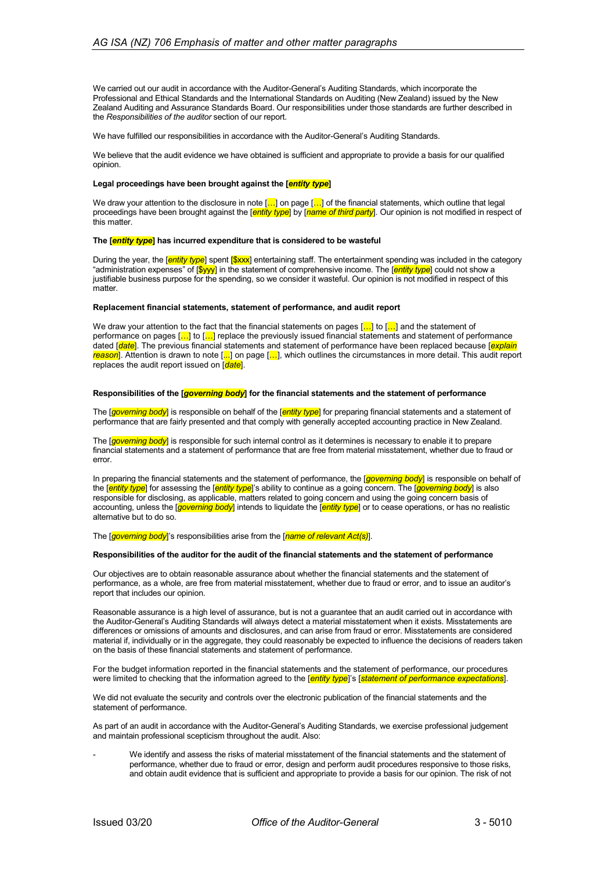We carried out our audit in accordance with the Auditor-General's Auditing Standards, which incorporate the Professional and Ethical Standards and the International Standards on Auditing (New Zealand) issued by the New Zealand Auditing and Assurance Standards Board. Our responsibilities under those standards are further described in the *Responsibilities of the auditor* section of our report.

We have fulfilled our responsibilities in accordance with the Auditor-General's Auditing Standards.

We believe that the audit evidence we have obtained is sufficient and appropriate to provide a basis for our qualified opinion.

#### **Legal proceedings have been brought against the [***entity type***]**

We draw your attention to the disclosure in note  $\left[\ldots\right]$  on page  $\left[\ldots\right]$  of the financial statements, which outline that legal proceedings have been brought against the [*entity type*] by [*name of third party*]. Our opinion is not modified in respect of this matter.

#### **The [***entity type***] has incurred expenditure that is considered to be wasteful**

During the year, the [*entity type*] spent [\$xxx] entertaining staff. The entertainment spending was included in the category "administration expenses" of [\$yyy] in the statement of comprehensive income. The [*entity type*] could not show a justifiable business purpose for the spending, so we consider it wasteful. Our opinion is not modified in respect of this **matter** 

#### **Replacement financial statements, statement of performance, and audit report**

We draw your attention to the fact that the financial statements on pages  $[\cdot, \cdot]$  to  $[\cdot, \cdot]$  and the statement of performance on pages […] to […] replace the previously issued financial statements and statement of performance dated [*date*]. The previous financial statements and statement of performance have been replaced because [*explain reason*]. Attention is drawn to note [...] on page […], which outlines the circumstances in more detail. This audit report replaces the audit report issued on [*date*].

### **Responsibilities of the [***governing body***] for the financial statements and the statement of performance**

The [*governing body*] is responsible on behalf of the [*entity type*] for preparing financial statements and a statement of performance that are fairly presented and that comply with generally accepted accounting practice in New Zealand.

The [*governing body*] is responsible for such internal control as it determines is necessary to enable it to prepare financial statements and a statement of performance that are free from material misstatement, whether due to fraud or error.

In preparing the financial statements and the statement of performance, the [*governing body*] is responsible on behalf of the [*entity type*] for assessing the [*entity type*]'s ability to continue as a going concern. The [*governing body*] is also responsible for disclosing, as applicable, matters related to going concern and using the going concern basis of accounting, unless the [*governing body*] intends to liquidate the [*entity type*] or to cease operations, or has no realistic alternative but to do so.

The [*governing body*]'s responsibilities arise from the [*name of relevant Act(s)*].

#### **Responsibilities of the auditor for the audit of the financial statements and the statement of performance**

Our objectives are to obtain reasonable assurance about whether the financial statements and the statement of performance, as a whole, are free from material misstatement, whether due to fraud or error, and to issue an auditor's report that includes our opinion.

Reasonable assurance is a high level of assurance, but is not a guarantee that an audit carried out in accordance with the Auditor-General's Auditing Standards will always detect a material misstatement when it exists. Misstatements are differences or omissions of amounts and disclosures, and can arise from fraud or error. Misstatements are considered material if, individually or in the aggregate, they could reasonably be expected to influence the decisions of readers taken on the basis of these financial statements and statement of performance.

For the budget information reported in the financial statements and the statement of performance, our procedures were limited to checking that the information agreed to the [*entity type*]'s [*statement of performance expectations*].

We did not evaluate the security and controls over the electronic publication of the financial statements and the statement of performance.

As part of an audit in accordance with the Auditor-General's Auditing Standards, we exercise professional judgement and maintain professional scepticism throughout the audit. Also:

We identify and assess the risks of material misstatement of the financial statements and the statement of performance, whether due to fraud or error, design and perform audit procedures responsive to those risks, and obtain audit evidence that is sufficient and appropriate to provide a basis for our opinion. The risk of not